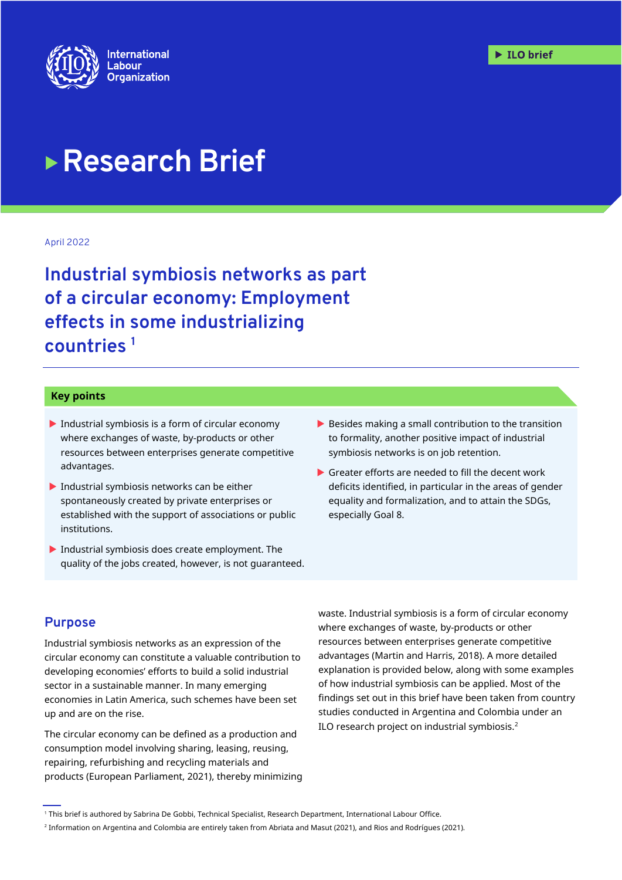

# **Research Brief**

April 2022

**Industrial symbiosis networks as part of a circular economy: Employment effects in some industrializing countries <sup>1</sup>**

#### **Key points**

- $\blacktriangleright$  Industrial symbiosis is a form of circular economy where exchanges of waste, by-products or other resources between enterprises generate competitive advantages.
- $\blacktriangleright$  Industrial symbiosis networks can be either spontaneously created by private enterprises or established with the support of associations or public institutions.
- Industrial symbiosis does create employment. The quality of the jobs created, however, is not guaranteed.
- $\blacktriangleright$  Besides making a small contribution to the transition to formality, another positive impact of industrial symbiosis networks is on job retention.
- Greater efforts are needed to fill the decent work deficits identified, in particular in the areas of gender equality and formalization, and to attain the SDGs, especially Goal 8.

#### **Purpose**

Industrial symbiosis networks as an expression of the circular economy can constitute a valuable contribution to developing economies' efforts to build a solid industrial sector in a sustainable manner. In many emerging economies in Latin America, such schemes have been set up and are on the rise.

The circular economy can be defined as a production and consumption model involving sharing, leasing, reusing, repairing, refurbishing and recycling materials and products (European Parliament, 2021), thereby minimizing waste. Industrial symbiosis is a form of circular economy where exchanges of waste, by-products or other resources between enterprises generate competitive advantages (Martin and Harris, 2018). A more detailed explanation is provided below, along with some examples of how industrial symbiosis can be applied. Most of the findings set out in this brief have been taken from country studies conducted in Argentina and Colombia under an ILO research project on industrial symbiosis. $2$ 

<sup>1</sup> This brief is authored by Sabrina De Gobbi, Technical Specialist, Research Department, International Labour Office.

<sup>2</sup> Information on Argentina and Colombia are entirely taken from Abriata and Masut (2021), and Rios and Rodrígues (2021).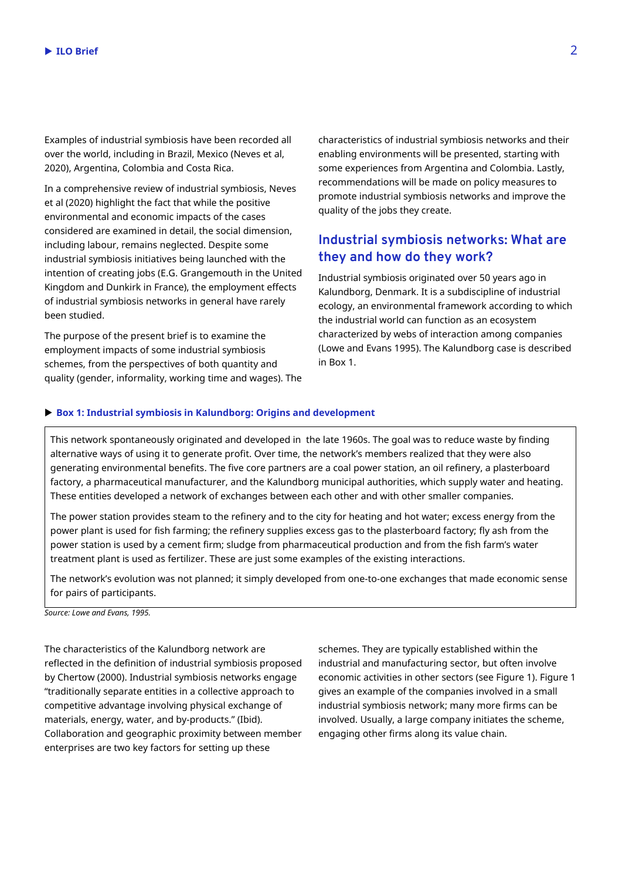Examples of industrial symbiosis have been recorded all over the world, including in Brazil, Mexico (Neves et al, 2020), Argentina, Colombia and Costa Rica.

In a comprehensive review of industrial symbiosis, Neves et al (2020) highlight the fact that while the positive environmental and economic impacts of the cases considered are examined in detail, the social dimension, including labour, remains neglected. Despite some industrial symbiosis initiatives being launched with the intention of creating jobs (E.G. Grangemouth in the United Kingdom and Dunkirk in France), the employment effects of industrial symbiosis networks in general have rarely been studied.

The purpose of the present brief is to examine the employment impacts of some industrial symbiosis schemes, from the perspectives of both quantity and quality (gender, informality, working time and wages). The characteristics of industrial symbiosis networks and their enabling environments will be presented, starting with some experiences from Argentina and Colombia. Lastly, recommendations will be made on policy measures to promote industrial symbiosis networks and improve the quality of the jobs they create.

# **Industrial symbiosis networks: What are they and how do they work?**

Industrial symbiosis originated over 50 years ago in Kalundborg, Denmark. It is a subdiscipline of industrial ecology, an environmental framework according to which the industrial world can function as an ecosystem characterized by webs of interaction among companies (Lowe and Evans 1995). The Kalundborg case is described in Box 1.

#### **Box 1: Industrial symbiosis in Kalundborg: Origins and development**

This network spontaneously originated and developed in the late 1960s. The goal was to reduce waste by finding alternative ways of using it to generate profit. Over time, the network's members realized that they were also generating environmental benefits. The five core partners are a coal power station, an oil refinery, a plasterboard factory, a pharmaceutical manufacturer, and the Kalundborg municipal authorities, which supply water and heating. These entities developed a network of exchanges between each other and with other smaller companies.

The power station provides steam to the refinery and to the city for heating and hot water; excess energy from the power plant is used for fish farming; the refinery supplies excess gas to the plasterboard factory; fly ash from the power station is used by a cement firm; sludge from pharmaceutical production and from the fish farm's water treatment plant is used as fertilizer. These are just some examples of the existing interactions.

The network's evolution was not planned; it simply developed from one-to-one exchanges that made economic sense for pairs of participants.

*Source: Lowe and Evans, 1995.*

The characteristics of the Kalundborg network are reflected in the definition of industrial symbiosis proposed by Chertow (2000). Industrial symbiosis networks engage "traditionally separate entities in a collective approach to competitive advantage involving physical exchange of materials, energy, water, and by-products." (Ibid). Collaboration and geographic proximity between member enterprises are two key factors for setting up these

schemes. They are typically established within the industrial and manufacturing sector, but often involve economic activities in other sectors (see Figure 1). Figure 1 gives an example of the companies involved in a small industrial symbiosis network; many more firms can be involved. Usually, a large company initiates the scheme, engaging other firms along its value chain.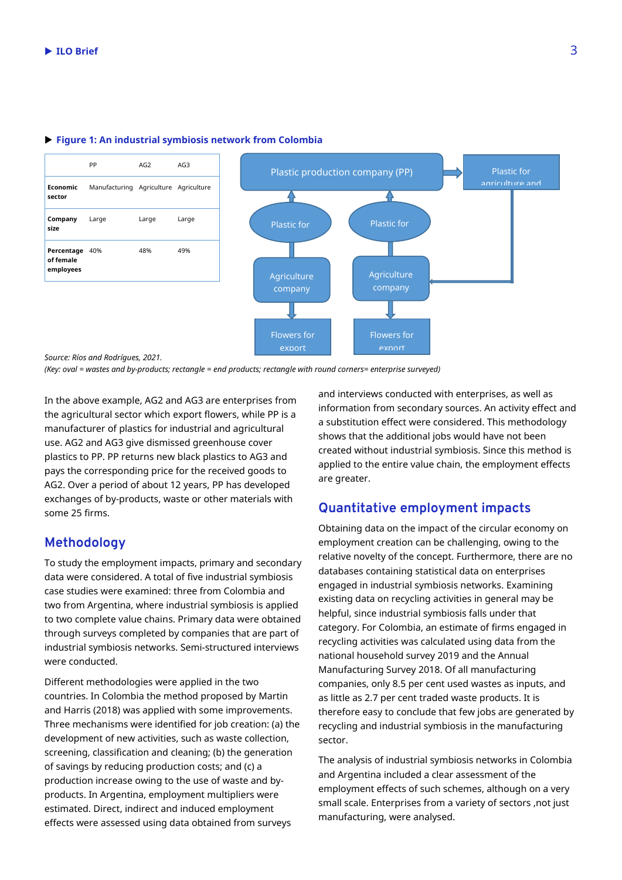

#### **Figure 1: An industrial symbiosis network from Colombia**

*Source: Ríos and Rodrígues, 2021.* 

*(Key: oval = wastes and by-products; rectangle = end products; rectangle with round corners= enterprise surveyed)*

In the above example, AG2 and AG3 are enterprises from the agricultural sector which export flowers, while PP is a manufacturer of plastics for industrial and agricultural use. AG2 and AG3 give dismissed greenhouse cover plastics to PP. PP returns new black plastics to AG3 and pays the corresponding price for the received goods to AG2. Over a period of about 12 years, PP has developed exchanges of by-products, waste or other materials with some 25 firms.

### **Methodology**

To study the employment impacts, primary and secondary data were considered. A total of five industrial symbiosis case studies were examined: three from Colombia and two from Argentina, where industrial symbiosis is applied to two complete value chains. Primary data were obtained through surveys completed by companies that are part of industrial symbiosis networks. Semi-structured interviews were conducted.

Different methodologies were applied in the two countries. In Colombia the method proposed by Martin and Harris (2018) was applied with some improvements. Three mechanisms were identified for job creation: (a) the development of new activities, such as waste collection, screening, classification and cleaning; (b) the generation of savings by reducing production costs; and (c) a production increase owing to the use of waste and byproducts. In Argentina, employment multipliers were estimated. Direct, indirect and induced employment effects were assessed using data obtained from surveys

and interviews conducted with enterprises, as well as information from secondary sources. An activity effect and a substitution effect were considered. This methodology shows that the additional jobs would have not been created without industrial symbiosis. Since this method is applied to the entire value chain, the employment effects are greater.

#### **Quantitative employment impacts**

Obtaining data on the impact of the circular economy on employment creation can be challenging, owing to the relative novelty of the concept. Furthermore, there are no databases containing statistical data on enterprises engaged in industrial symbiosis networks. Examining existing data on recycling activities in general may be helpful, since industrial symbiosis falls under that category. For Colombia, an estimate of firms engaged in recycling activities was calculated using data from the national household survey 2019 and the Annual Manufacturing Survey 2018. Of all manufacturing companies, only 8.5 per cent used wastes as inputs, and as little as 2.7 per cent traded waste products. It is therefore easy to conclude that few jobs are generated by recycling and industrial symbiosis in the manufacturing sector.

The analysis of industrial symbiosis networks in Colombia and Argentina included a clear assessment of the employment effects of such schemes, although on a very small scale. Enterprises from a variety of sectors ,not just manufacturing, were analysed.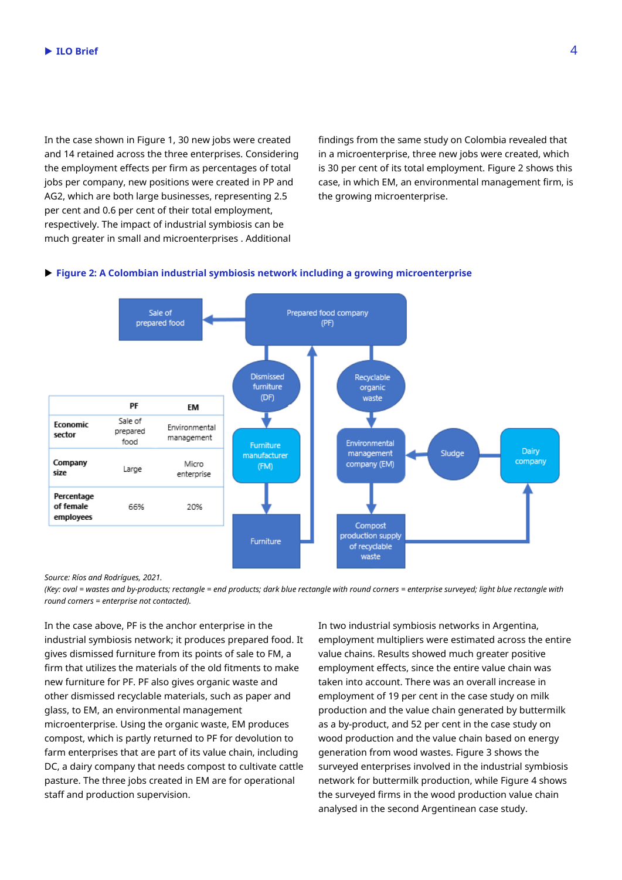In the case shown in Figure 1, 30 new jobs were created and 14 retained across the three enterprises. Considering the employment effects per firm as percentages of total jobs per company, new positions were created in PP and AG2, which are both large businesses, representing 2.5 per cent and 0.6 per cent of their total employment, respectively. The impact of industrial symbiosis can be much greater in small and microenterprises . Additional

findings from the same study on Colombia revealed that in a microenterprise, three new jobs were created, which is 30 per cent of its total employment. Figure 2 shows this case, in which EM, an environmental management firm, is the growing microenterprise.

#### **Figure 2: A Colombian industrial symbiosis network including a growing microenterprise**



*Source: Ríos and Rodrígues, 2021.* 

*(Key: oval = wastes and by-products; rectangle = end products; dark blue rectangle with round corners = enterprise surveyed; light blue rectangle with round corners = enterprise not contacted).* 

In the case above, PF is the anchor enterprise in the industrial symbiosis network; it produces prepared food. It gives dismissed furniture from its points of sale to FM, a firm that utilizes the materials of the old fitments to make new furniture for PF. PF also gives organic waste and other dismissed recyclable materials, such as paper and glass, to EM, an environmental management microenterprise. Using the organic waste, EM produces compost, which is partly returned to PF for devolution to farm enterprises that are part of its value chain, including DC, a dairy company that needs compost to cultivate cattle pasture. The three jobs created in EM are for operational staff and production supervision.

In two industrial symbiosis networks in Argentina, employment multipliers were estimated across the entire value chains. Results showed much greater positive employment effects, since the entire value chain was taken into account. There was an overall increase in employment of 19 per cent in the case study on milk production and the value chain generated by buttermilk as a by-product, and 52 per cent in the case study on wood production and the value chain based on energy generation from wood wastes. Figure 3 shows the surveyed enterprises involved in the industrial symbiosis network for buttermilk production, while Figure 4 shows the surveyed firms in the wood production value chain analysed in the second Argentinean case study.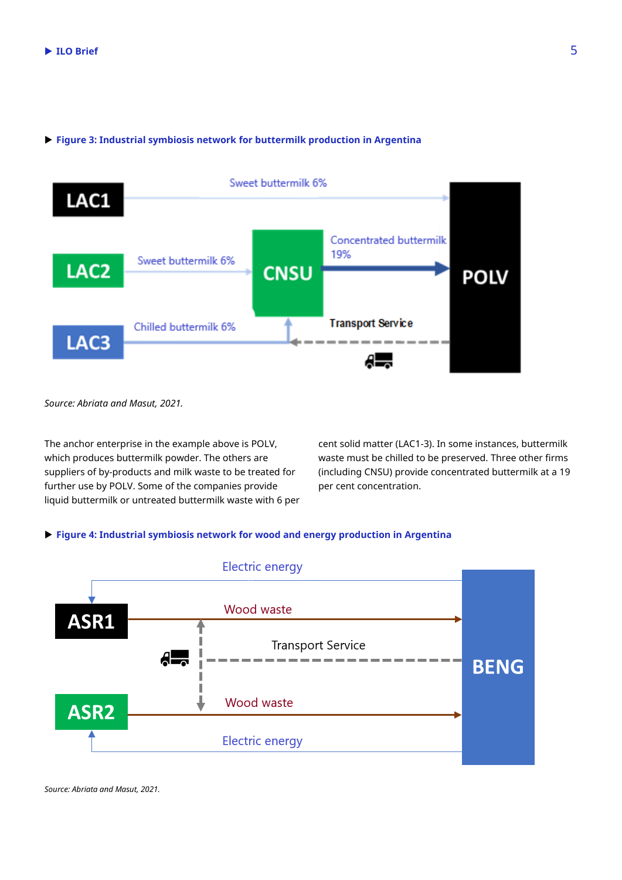# Sweet buttermilk 6% LAC1 **Concentrated buttermilk** 19% Sweet buttermilk 6% LAC<sub>2</sub> **CNSU POLV Transport Service** Chilled buttermilk 6% LAC<sub>3</sub>

#### **Figure 3: Industrial symbiosis network for buttermilk production in Argentina**

*Source: Abriata and Masut, 2021.*

The anchor enterprise in the example above is POLV, which produces buttermilk powder. The others are suppliers of by-products and milk waste to be treated for further use by POLV. Some of the companies provide liquid buttermilk or untreated buttermilk waste with 6 per cent solid matter (LAC1-3). In some instances, buttermilk waste must be chilled to be preserved. Three other firms (including CNSU) provide concentrated buttermilk at a 19 per cent concentration.

#### **Figure 4: Industrial symbiosis network for wood and energy production in Argentina**



*Source: Abriata and Masut, 2021.*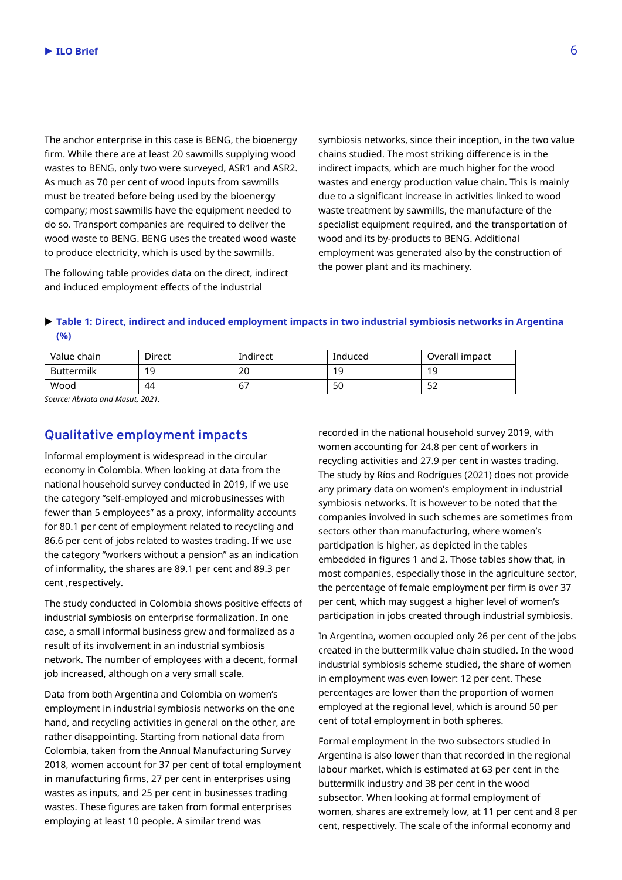The anchor enterprise in this case is BENG, the bioenergy firm. While there are at least 20 sawmills supplying wood wastes to BENG, only two were surveyed, ASR1 and ASR2. As much as 70 per cent of wood inputs from sawmills must be treated before being used by the bioenergy company; most sawmills have the equipment needed to do so. Transport companies are required to deliver the wood waste to BENG. BENG uses the treated wood waste to produce electricity, which is used by the sawmills.

The following table provides data on the direct, indirect and induced employment effects of the industrial

symbiosis networks, since their inception, in the two value chains studied. The most striking difference is in the indirect impacts, which are much higher for the wood wastes and energy production value chain. This is mainly due to a significant increase in activities linked to wood waste treatment by sawmills, the manufacture of the specialist equipment required, and the transportation of wood and its by-products to BENG. Additional employment was generated also by the construction of the power plant and its machinery.

#### **Table 1: Direct, indirect and induced employment impacts in two industrial symbiosis networks in Argentina (%)**

| Value chain       | Direct | Indirect | Induced | Overall impact |
|-------------------|--------|----------|---------|----------------|
| <b>Buttermilk</b> | 19     | nr<br>∠∪ | 1 C     | 19             |
| Wood              | 44     | 6,       | 50      | E۹<br>ےر       |

*Source: Abriata and Masut, 2021.*

## **Qualitative employment impacts**

Informal employment is widespread in the circular economy in Colombia. When looking at data from the national household survey conducted in 2019, if we use the category "self-employed and microbusinesses with fewer than 5 employees" as a proxy, informality accounts for 80.1 per cent of employment related to recycling and 86.6 per cent of jobs related to wastes trading. If we use the category "workers without a pension" as an indication of informality, the shares are 89.1 per cent and 89.3 per cent ,respectively.

The study conducted in Colombia shows positive effects of industrial symbiosis on enterprise formalization. In one case, a small informal business grew and formalized as a result of its involvement in an industrial symbiosis network. The number of employees with a decent, formal job increased, although on a very small scale.

Data from both Argentina and Colombia on women's employment in industrial symbiosis networks on the one hand, and recycling activities in general on the other, are rather disappointing. Starting from national data from Colombia, taken from the Annual Manufacturing Survey 2018, women account for 37 per cent of total employment in manufacturing firms, 27 per cent in enterprises using wastes as inputs, and 25 per cent in businesses trading wastes. These figures are taken from formal enterprises employing at least 10 people. A similar trend was

recorded in the national household survey 2019, with women accounting for 24.8 per cent of workers in recycling activities and 27.9 per cent in wastes trading. The study by Ríos and Rodrígues (2021) does not provide any primary data on women's employment in industrial symbiosis networks. It is however to be noted that the companies involved in such schemes are sometimes from sectors other than manufacturing, where women's participation is higher, as depicted in the tables embedded in figures 1 and 2. Those tables show that, in most companies, especially those in the agriculture sector, the percentage of female employment per firm is over 37 per cent, which may suggest a higher level of women's participation in jobs created through industrial symbiosis.

In Argentina, women occupied only 26 per cent of the jobs created in the buttermilk value chain studied. In the wood industrial symbiosis scheme studied, the share of women in employment was even lower: 12 per cent. These percentages are lower than the proportion of women employed at the regional level, which is around 50 per cent of total employment in both spheres.

Formal employment in the two subsectors studied in Argentina is also lower than that recorded in the regional labour market, which is estimated at 63 per cent in the buttermilk industry and 38 per cent in the wood subsector. When looking at formal employment of women, shares are extremely low, at 11 per cent and 8 per cent, respectively. The scale of the informal economy and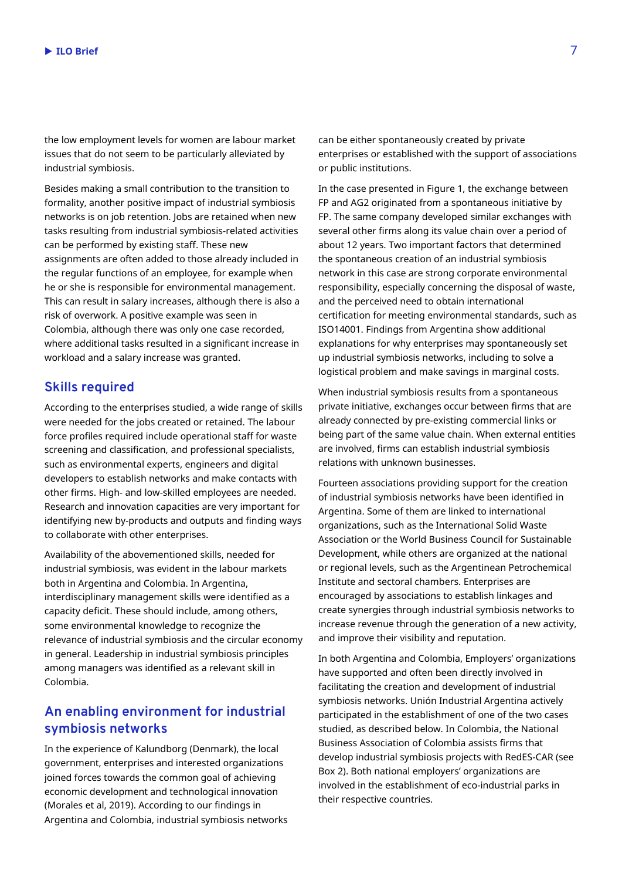the low employment levels for women are labour market issues that do not seem to be particularly alleviated by industrial symbiosis.

Besides making a small contribution to the transition to formality, another positive impact of industrial symbiosis networks is on job retention. Jobs are retained when new tasks resulting from industrial symbiosis-related activities can be performed by existing staff. These new assignments are often added to those already included in the regular functions of an employee, for example when he or she is responsible for environmental management. This can result in salary increases, although there is also a risk of overwork. A positive example was seen in Colombia, although there was only one case recorded, where additional tasks resulted in a significant increase in workload and a salary increase was granted.

## **Skills required**

According to the enterprises studied, a wide range of skills were needed for the jobs created or retained. The labour force profiles required include operational staff for waste screening and classification, and professional specialists, such as environmental experts, engineers and digital developers to establish networks and make contacts with other firms. High- and low-skilled employees are needed. Research and innovation capacities are very important for identifying new by-products and outputs and finding ways to collaborate with other enterprises.

Availability of the abovementioned skills, needed for industrial symbiosis, was evident in the labour markets both in Argentina and Colombia. In Argentina, interdisciplinary management skills were identified as a capacity deficit. These should include, among others, some environmental knowledge to recognize the relevance of industrial symbiosis and the circular economy in general. Leadership in industrial symbiosis principles among managers was identified as a relevant skill in Colombia.

# **An enabling environment for industrial symbiosis networks**

In the experience of Kalundborg (Denmark), the local government, enterprises and interested organizations joined forces towards the common goal of achieving economic development and technological innovation (Morales et al, 2019). According to our findings in Argentina and Colombia, industrial symbiosis networks

can be either spontaneously created by private enterprises or established with the support of associations or public institutions.

In the case presented in Figure 1, the exchange between FP and AG2 originated from a spontaneous initiative by FP. The same company developed similar exchanges with several other firms along its value chain over a period of about 12 years. Two important factors that determined the spontaneous creation of an industrial symbiosis network in this case are strong corporate environmental responsibility, especially concerning the disposal of waste, and the perceived need to obtain international certification for meeting environmental standards, such as ISO14001. Findings from Argentina show additional explanations for why enterprises may spontaneously set up industrial symbiosis networks, including to solve a logistical problem and make savings in marginal costs.

When industrial symbiosis results from a spontaneous private initiative, exchanges occur between firms that are already connected by pre-existing commercial links or being part of the same value chain. When external entities are involved, firms can establish industrial symbiosis relations with unknown businesses.

Fourteen associations providing support for the creation of industrial symbiosis networks have been identified in Argentina. Some of them are linked to international organizations, such as the International Solid Waste Association or the World Business Council for Sustainable Development, while others are organized at the national or regional levels, such as the Argentinean Petrochemical Institute and sectoral chambers. Enterprises are encouraged by associations to establish linkages and create synergies through industrial symbiosis networks to increase revenue through the generation of a new activity, and improve their visibility and reputation.

In both Argentina and Colombia, Employers' organizations have supported and often been directly involved in facilitating the creation and development of industrial symbiosis networks. Unión Industrial Argentina actively participated in the establishment of one of the two cases studied, as described below. In Colombia, the National Business Association of Colombia assists firms that develop industrial symbiosis projects with RedES-CAR (see Box 2). Both national employers' organizations are involved in the establishment of eco-industrial parks in their respective countries.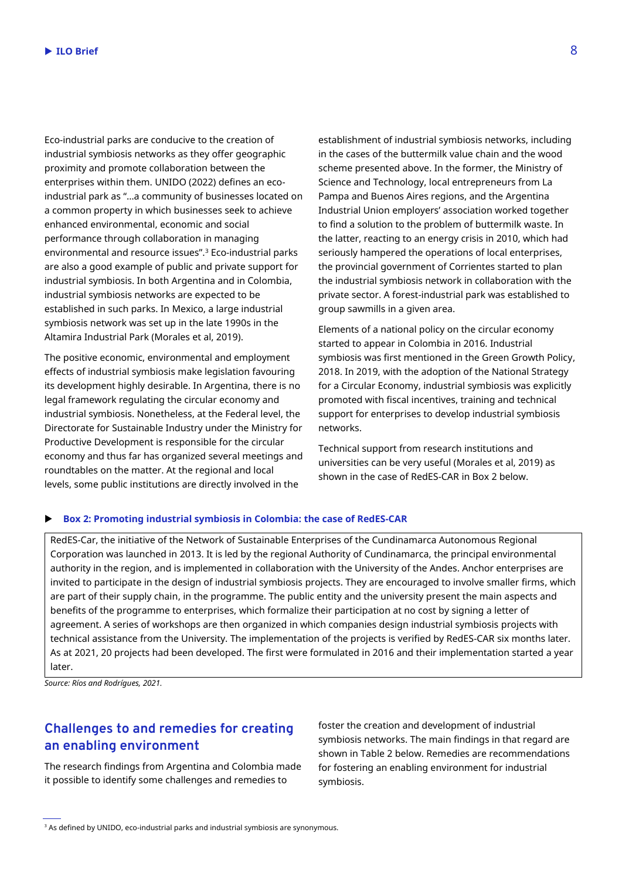Eco-industrial parks are conducive to the creation of industrial symbiosis networks as they offer geographic proximity and promote collaboration between the enterprises within them. UNIDO (2022) defines an ecoindustrial park as "…a community of businesses located on a common property in which businesses seek to achieve enhanced environmental, economic and social performance through collaboration in managing environmental and resource issues".<sup>3</sup> Eco-industrial parks are also a good example of public and private support for industrial symbiosis. In both Argentina and in Colombia, industrial symbiosis networks are expected to be established in such parks. In Mexico, a large industrial symbiosis network was set up in the late 1990s in the Altamira Industrial Park (Morales et al, 2019).

The positive economic, environmental and employment effects of industrial symbiosis make legislation favouring its development highly desirable. In Argentina, there is no legal framework regulating the circular economy and industrial symbiosis. Nonetheless, at the Federal level, the Directorate for Sustainable Industry under the Ministry for Productive Development is responsible for the circular economy and thus far has organized several meetings and roundtables on the matter. At the regional and local levels, some public institutions are directly involved in the

establishment of industrial symbiosis networks, including in the cases of the buttermilk value chain and the wood scheme presented above. In the former, the Ministry of Science and Technology, local entrepreneurs from La Pampa and Buenos Aires regions, and the Argentina Industrial Union employers' association worked together to find a solution to the problem of buttermilk waste. In the latter, reacting to an energy crisis in 2010, which had seriously hampered the operations of local enterprises, the provincial government of Corrientes started to plan the industrial symbiosis network in collaboration with the private sector. A forest-industrial park was established to group sawmills in a given area.

Elements of a national policy on the circular economy started to appear in Colombia in 2016. Industrial symbiosis was first mentioned in the Green Growth Policy, 2018. In 2019, with the adoption of the National Strategy for a Circular Economy, industrial symbiosis was explicitly promoted with fiscal incentives, training and technical support for enterprises to develop industrial symbiosis networks.

Technical support from research institutions and universities can be very useful (Morales et al, 2019) as shown in the case of RedES-CAR in Box 2 below.

#### **Box 2: Promoting industrial symbiosis in Colombia: the case of RedES-CAR**

RedES-Car, the initiative of the Network of Sustainable Enterprises of the Cundinamarca Autonomous Regional Corporation was launched in 2013. It is led by the regional Authority of Cundinamarca, the principal environmental authority in the region, and is implemented in collaboration with the University of the Andes. Anchor enterprises are invited to participate in the design of industrial symbiosis projects. They are encouraged to involve smaller firms, which are part of their supply chain, in the programme. The public entity and the university present the main aspects and benefits of the programme to enterprises, which formalize their participation at no cost by signing a letter of agreement. A series of workshops are then organized in which companies design industrial symbiosis projects with technical assistance from the University. The implementation of the projects is verified by RedES-CAR six months later. As at 2021, 20 projects had been developed. The first were formulated in 2016 and their implementation started a year later.

*Source: Ríos and Rodrígues, 2021.*

# **Challenges to and remedies for creating an enabling environment**

The research findings from Argentina and Colombia made it possible to identify some challenges and remedies to

foster the creation and development of industrial symbiosis networks. The main findings in that regard are shown in Table 2 below. Remedies are recommendations for fostering an enabling environment for industrial symbiosis.

<sup>3</sup> As defined by UNIDO, eco-industrial parks and industrial symbiosis are synonymous.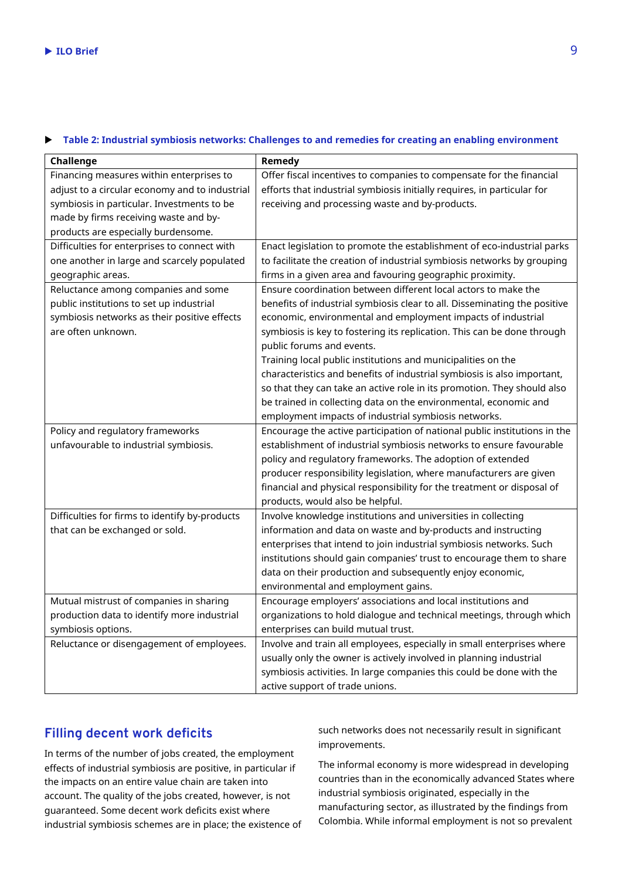#### **Table 2: Industrial symbiosis networks: Challenges to and remedies for creating an enabling environment**

| Challenge                                      | Remedy                                                                    |
|------------------------------------------------|---------------------------------------------------------------------------|
| Financing measures within enterprises to       | Offer fiscal incentives to companies to compensate for the financial      |
| adjust to a circular economy and to industrial | efforts that industrial symbiosis initially requires, in particular for   |
| symbiosis in particular. Investments to be     | receiving and processing waste and by-products.                           |
| made by firms receiving waste and by-          |                                                                           |
| products are especially burdensome.            |                                                                           |
| Difficulties for enterprises to connect with   | Enact legislation to promote the establishment of eco-industrial parks    |
| one another in large and scarcely populated    | to facilitate the creation of industrial symbiosis networks by grouping   |
| geographic areas.                              | firms in a given area and favouring geographic proximity.                 |
| Reluctance among companies and some            | Ensure coordination between different local actors to make the            |
| public institutions to set up industrial       | benefits of industrial symbiosis clear to all. Disseminating the positive |
| symbiosis networks as their positive effects   | economic, environmental and employment impacts of industrial              |
| are often unknown.                             | symbiosis is key to fostering its replication. This can be done through   |
|                                                | public forums and events.                                                 |
|                                                | Training local public institutions and municipalities on the              |
|                                                | characteristics and benefits of industrial symbiosis is also important,   |
|                                                | so that they can take an active role in its promotion. They should also   |
|                                                | be trained in collecting data on the environmental, economic and          |
|                                                | employment impacts of industrial symbiosis networks.                      |
| Policy and regulatory frameworks               | Encourage the active participation of national public institutions in the |
| unfavourable to industrial symbiosis.          | establishment of industrial symbiosis networks to ensure favourable       |
|                                                | policy and regulatory frameworks. The adoption of extended                |
|                                                | producer responsibility legislation, where manufacturers are given        |
|                                                | financial and physical responsibility for the treatment or disposal of    |
|                                                | products, would also be helpful.                                          |
| Difficulties for firms to identify by-products | Involve knowledge institutions and universities in collecting             |
| that can be exchanged or sold.                 | information and data on waste and by-products and instructing             |
|                                                | enterprises that intend to join industrial symbiosis networks. Such       |
|                                                | institutions should gain companies' trust to encourage them to share      |
|                                                | data on their production and subsequently enjoy economic,                 |
|                                                | environmental and employment gains.                                       |
| Mutual mistrust of companies in sharing        | Encourage employers' associations and local institutions and              |
| production data to identify more industrial    | organizations to hold dialogue and technical meetings, through which      |
| symbiosis options.                             | enterprises can build mutual trust.                                       |
| Reluctance or disengagement of employees.      | Involve and train all employees, especially in small enterprises where    |
|                                                | usually only the owner is actively involved in planning industrial        |
|                                                | symbiosis activities. In large companies this could be done with the      |
|                                                | active support of trade unions.                                           |

# **Filling decent work deficits**

In terms of the number of jobs created, the employment effects of industrial symbiosis are positive, in particular if the impacts on an entire value chain are taken into account. The quality of the jobs created, however, is not guaranteed. Some decent work deficits exist where industrial symbiosis schemes are in place; the existence of such networks does not necessarily result in significant improvements.

The informal economy is more widespread in developing countries than in the economically advanced States where industrial symbiosis originated, especially in the manufacturing sector, as illustrated by the findings from Colombia. While informal employment is not so prevalent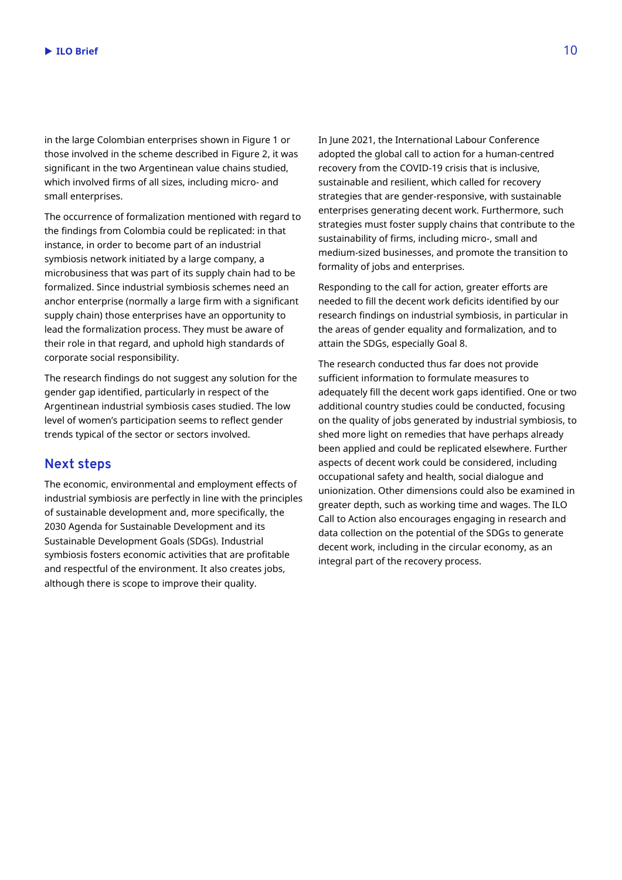in the large Colombian enterprises shown in Figure 1 or those involved in the scheme described in Figure 2, it was significant in the two Argentinean value chains studied, which involved firms of all sizes, including micro- and small enterprises.

The occurrence of formalization mentioned with regard to the findings from Colombia could be replicated: in that instance, in order to become part of an industrial symbiosis network initiated by a large company, a microbusiness that was part of its supply chain had to be formalized. Since industrial symbiosis schemes need an anchor enterprise (normally a large firm with a significant supply chain) those enterprises have an opportunity to lead the formalization process. They must be aware of their role in that regard, and uphold high standards of corporate social responsibility.

The research findings do not suggest any solution for the gender gap identified, particularly in respect of the Argentinean industrial symbiosis cases studied. The low level of women's participation seems to reflect gender trends typical of the sector or sectors involved.

## **Next steps**

The economic, environmental and employment effects of industrial symbiosis are perfectly in line with the principles of sustainable development and, more specifically, the 2030 Agenda for Sustainable Development and its Sustainable Development Goals (SDGs). Industrial symbiosis fosters economic activities that are profitable and respectful of the environment. It also creates jobs, although there is scope to improve their quality.

In June 2021, the International Labour Conference adopted the global call to action for a human-centred recovery from the COVID-19 crisis that is inclusive, sustainable and resilient, which called for recovery strategies that are gender-responsive, with sustainable enterprises generating decent work. Furthermore, such strategies must foster supply chains that contribute to the sustainability of firms, including micro-, small and medium-sized businesses, and promote the transition to formality of jobs and enterprises.

Responding to the call for action, greater efforts are needed to fill the decent work deficits identified by our research findings on industrial symbiosis, in particular in the areas of gender equality and formalization, and to attain the SDGs, especially Goal 8.

The research conducted thus far does not provide sufficient information to formulate measures to adequately fill the decent work gaps identified. One or two additional country studies could be conducted, focusing on the quality of jobs generated by industrial symbiosis, to shed more light on remedies that have perhaps already been applied and could be replicated elsewhere. Further aspects of decent work could be considered, including occupational safety and health, social dialogue and unionization. Other dimensions could also be examined in greater depth, such as working time and wages. The ILO Call to Action also encourages engaging in research and data collection on the potential of the SDGs to generate decent work, including in the circular economy, as an integral part of the recovery process.